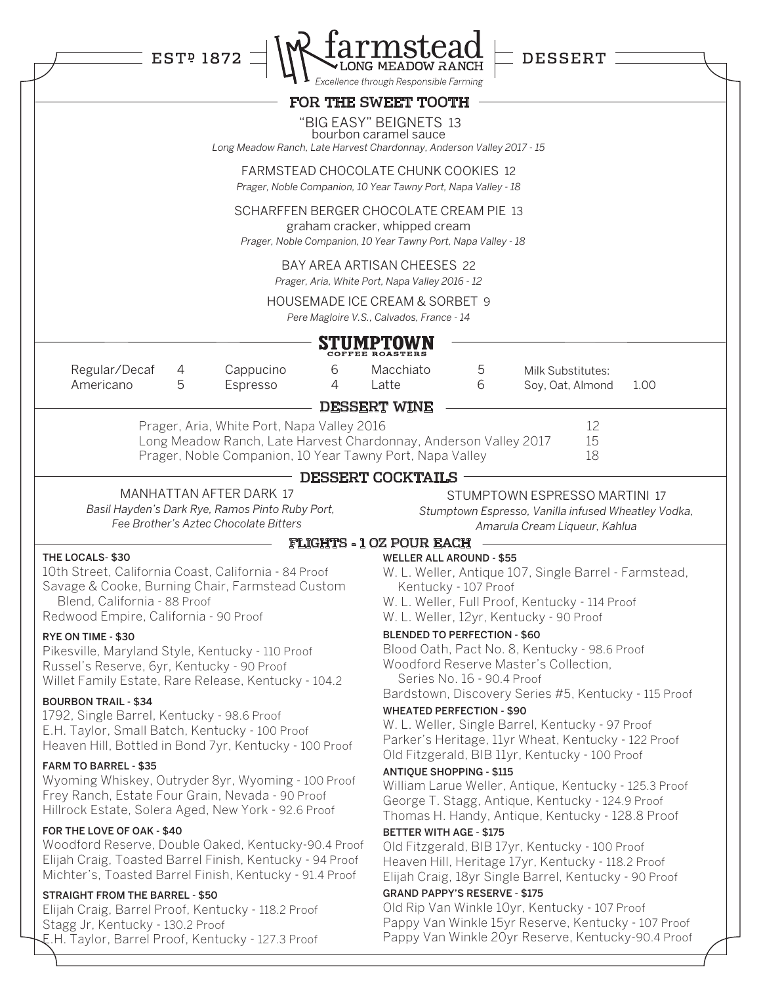|                                                                                                                                                                                                                                                                                                                                                                                                                                                                                                                                                                                                                                                                                                                                                                                                                                                                                                                                                                                           |        | <b>EST<sup>p</sup> 1872</b>                                                                                                                                                            |        | <b>MSTEAC</b><br>MEADOW RANCH                                                                                                                                                                                      |                                                    | DESSERT                                                                                                                                                                                                                                                                                                                                                                                                                                                                                                                                                                                                                                                                                                                                                                                             |      |
|-------------------------------------------------------------------------------------------------------------------------------------------------------------------------------------------------------------------------------------------------------------------------------------------------------------------------------------------------------------------------------------------------------------------------------------------------------------------------------------------------------------------------------------------------------------------------------------------------------------------------------------------------------------------------------------------------------------------------------------------------------------------------------------------------------------------------------------------------------------------------------------------------------------------------------------------------------------------------------------------|--------|----------------------------------------------------------------------------------------------------------------------------------------------------------------------------------------|--------|--------------------------------------------------------------------------------------------------------------------------------------------------------------------------------------------------------------------|----------------------------------------------------|-----------------------------------------------------------------------------------------------------------------------------------------------------------------------------------------------------------------------------------------------------------------------------------------------------------------------------------------------------------------------------------------------------------------------------------------------------------------------------------------------------------------------------------------------------------------------------------------------------------------------------------------------------------------------------------------------------------------------------------------------------------------------------------------------------|------|
|                                                                                                                                                                                                                                                                                                                                                                                                                                                                                                                                                                                                                                                                                                                                                                                                                                                                                                                                                                                           |        |                                                                                                                                                                                        |        | Excellence through Responsible Farming                                                                                                                                                                             |                                                    |                                                                                                                                                                                                                                                                                                                                                                                                                                                                                                                                                                                                                                                                                                                                                                                                     |      |
|                                                                                                                                                                                                                                                                                                                                                                                                                                                                                                                                                                                                                                                                                                                                                                                                                                                                                                                                                                                           |        |                                                                                                                                                                                        |        | FOR THE SWEET TOOTH                                                                                                                                                                                                |                                                    |                                                                                                                                                                                                                                                                                                                                                                                                                                                                                                                                                                                                                                                                                                                                                                                                     |      |
|                                                                                                                                                                                                                                                                                                                                                                                                                                                                                                                                                                                                                                                                                                                                                                                                                                                                                                                                                                                           |        | Long Meadow Ranch, Late Harvest Chardonnay, Anderson Valley 2017 - 15                                                                                                                  |        | "BIG EASY" BEIGNETS 13<br>bourbon caramel sauce                                                                                                                                                                    |                                                    |                                                                                                                                                                                                                                                                                                                                                                                                                                                                                                                                                                                                                                                                                                                                                                                                     |      |
|                                                                                                                                                                                                                                                                                                                                                                                                                                                                                                                                                                                                                                                                                                                                                                                                                                                                                                                                                                                           |        |                                                                                                                                                                                        |        | FARMSTEAD CHOCOLATE CHUNK COOKIES 12<br>Prager, Noble Companion, 10 Year Tawny Port, Napa Valley - 18                                                                                                              |                                                    |                                                                                                                                                                                                                                                                                                                                                                                                                                                                                                                                                                                                                                                                                                                                                                                                     |      |
|                                                                                                                                                                                                                                                                                                                                                                                                                                                                                                                                                                                                                                                                                                                                                                                                                                                                                                                                                                                           |        |                                                                                                                                                                                        |        | SCHARFFEN BERGER CHOCOLATE CREAM PIE 13<br>graham cracker, whipped cream<br>Prager, Noble Companion, 10 Year Tawny Port, Napa Valley - 18                                                                          |                                                    |                                                                                                                                                                                                                                                                                                                                                                                                                                                                                                                                                                                                                                                                                                                                                                                                     |      |
|                                                                                                                                                                                                                                                                                                                                                                                                                                                                                                                                                                                                                                                                                                                                                                                                                                                                                                                                                                                           |        |                                                                                                                                                                                        |        | BAY AREA ARTISAN CHEESES 22<br>Prager, Aria, White Port, Napa Valley 2016 - 12                                                                                                                                     |                                                    |                                                                                                                                                                                                                                                                                                                                                                                                                                                                                                                                                                                                                                                                                                                                                                                                     |      |
|                                                                                                                                                                                                                                                                                                                                                                                                                                                                                                                                                                                                                                                                                                                                                                                                                                                                                                                                                                                           |        |                                                                                                                                                                                        |        | HOUSEMADE ICE CREAM & SORBET 9<br>Pere Magloire V.S., Calvados, France - 14                                                                                                                                        |                                                    |                                                                                                                                                                                                                                                                                                                                                                                                                                                                                                                                                                                                                                                                                                                                                                                                     |      |
|                                                                                                                                                                                                                                                                                                                                                                                                                                                                                                                                                                                                                                                                                                                                                                                                                                                                                                                                                                                           |        |                                                                                                                                                                                        |        | COFFEE ROASTERS                                                                                                                                                                                                    |                                                    |                                                                                                                                                                                                                                                                                                                                                                                                                                                                                                                                                                                                                                                                                                                                                                                                     |      |
| Regular/Decaf<br>Americano                                                                                                                                                                                                                                                                                                                                                                                                                                                                                                                                                                                                                                                                                                                                                                                                                                                                                                                                                                | 4<br>5 | Cappucino<br>Espresso                                                                                                                                                                  | 6<br>4 | Macchiato<br>Latte                                                                                                                                                                                                 | 5<br>6                                             | Milk Substitutes:<br>Soy, Oat, Almond                                                                                                                                                                                                                                                                                                                                                                                                                                                                                                                                                                                                                                                                                                                                                               | 1.00 |
|                                                                                                                                                                                                                                                                                                                                                                                                                                                                                                                                                                                                                                                                                                                                                                                                                                                                                                                                                                                           |        | Prager, Noble Companion, 10 Year Tawny Port, Napa Valley<br><b>MANHATTAN AFTER DARK 17</b><br>Basil Hayden's Dark Rye, Ramos Pinto Ruby Port,<br>Fee Brother's Aztec Chocolate Bitters |        | <b>DESSERT COCKTAILS</b>                                                                                                                                                                                           |                                                    | 18<br>STUMPTOWN ESPRESSO MARTINI 17<br>Stumptown Espresso, Vanilla infused Wheatley Vodka,<br>Amarula Cream Liqueur, Kahlua                                                                                                                                                                                                                                                                                                                                                                                                                                                                                                                                                                                                                                                                         |      |
| THE LOCALS-\$30<br>10th Street, California Coast, California - 84 Proof<br>Savage & Cooke, Burning Chair, Farmstead Custom<br>Blend, California - 88 Proof<br>Redwood Empire, California - 90 Proof<br>RYE ON TIME - \$30<br>Pikesville, Maryland Style, Kentucky - 110 Proof<br>Russel's Reserve, 6yr, Kentucky - 90 Proof<br>Willet Family Estate, Rare Release, Kentucky - 104.2<br><b>BOURBON TRAIL - \$34</b><br>1792, Single Barrel, Kentucky - 98.6 Proof<br>E.H. Taylor, Small Batch, Kentucky - 100 Proof<br>Heaven Hill, Bottled in Bond 7yr, Kentucky - 100 Proof<br><b>FARM TO BARREL - \$35</b><br>Wyoming Whiskey, Outryder 8yr, Wyoming - 100 Proof<br>Frey Ranch, Estate Four Grain, Nevada - 90 Proof<br>Hillrock Estate, Solera Aged, New York - 92.6 Proof<br>FOR THE LOVE OF OAK - \$40<br>Woodford Reserve, Double Oaked, Kentucky-90.4 Proof<br>Elijah Craig, Toasted Barrel Finish, Kentucky - 94 Proof<br>Michter's, Toasted Barrel Finish, Kentucky - 91.4 Proof |        |                                                                                                                                                                                        |        | <b>FLIGHTS - 1 OZ POUR EACH</b><br><b>WELLER ALL AROUND - \$55</b><br><b>BLENDED TO PERFECTION - \$60</b><br><b>WHEATED PERFECTION - \$90</b><br><b>ANTIQUE SHOPPING - \$115</b><br><b>BETTER WITH AGE - \$175</b> | Kentucky - 107 Proof<br>Series No. 16 - 90.4 Proof | W. L. Weller, Antique 107, Single Barrel - Farmstead,<br>W. L. Weller, Full Proof, Kentucky - 114 Proof<br>W. L. Weller, 12yr, Kentucky - 90 Proof<br>Blood Oath, Pact No. 8, Kentucky - 98.6 Proof<br>Woodford Reserve Master's Collection,<br>Bardstown, Discovery Series #5, Kentucky - 115 Proof<br>W. L. Weller, Single Barrel, Kentucky - 97 Proof<br>Parker's Heritage, 11yr Wheat, Kentucky - 122 Proof<br>Old Fitzgerald, BIB 11yr, Kentucky - 100 Proof<br>William Larue Weller, Antique, Kentucky - 125.3 Proof<br>George T. Stagg, Antique, Kentucky - 124.9 Proof<br>Thomas H. Handy, Antique, Kentucky - 128.8 Proof<br>Old Fitzgerald, BIB 17yr, Kentucky - 100 Proof<br>Heaven Hill, Heritage 17yr, Kentucky - 118.2 Proof<br>Elijah Craig, 18yr Single Barrel, Kentucky - 90 Proof |      |
| <b>STRAIGHT FROM THE BARREL - \$50</b><br>Elijah Craig, Barrel Proof, Kentucky - 118.2 Proof<br>Stagg Jr, Kentucky - 130.2 Proof<br>E.H. Taylor, Barrel Proof, Kentucky - 127.3 Proof                                                                                                                                                                                                                                                                                                                                                                                                                                                                                                                                                                                                                                                                                                                                                                                                     |        |                                                                                                                                                                                        |        | <b>GRAND PAPPY'S RESERVE - \$175</b><br>Old Rip Van Winkle 10yr, Kentucky - 107 Proof<br>Pappy Van Winkle 15yr Reserve, Kentucky - 107 Proof<br>Pappy Van Winkle 20yr Reserve, Kentucky-90.4 Proof                 |                                                    |                                                                                                                                                                                                                                                                                                                                                                                                                                                                                                                                                                                                                                                                                                                                                                                                     |      |